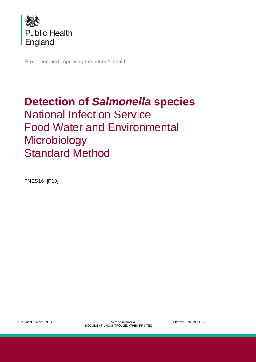

Protecting and improving the nation's health

# **Detection of** *Salmonella* **species** National Infection Service Food Water and Environmental **Microbiology** Standard Method

<span id="page-0-0"></span>FNES16 [F13]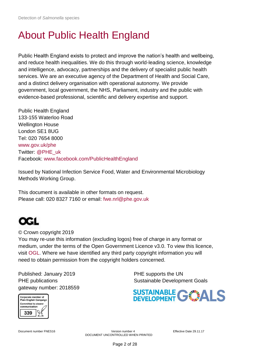## About Public Health England

Public Health England exists to protect and improve the nation's health and wellbeing, and reduce health inequalities. We do this through world-leading science, knowledge and intelligence, advocacy, partnerships and the delivery of specialist public health services. We are an executive agency of the Department of Health and Social Care, and a distinct delivery organisation with operational autonomy. We provide government, local government, the NHS, Parliament, industry and the public with evidence-based professional, scientific and delivery expertise and support.

Public Health England 133-155 Waterloo Road Wellington House London SE1 8UG Tel: 020 7654 8000 [www.gov.uk/phe](http://www.gov.uk/phe) Twitter: [@PHE\\_uk](https://twitter.com/PHE_uk) Facebook: [www.facebook.com/PublicHealthEngland](http://www.facebook.com/PublicHealthEngland)

Issued by National Infection Service Food, Water and Environmental Microbiology Methods Working Group.

This document is available in other formats on request. Please call: 020 8327 7160 or email: [fwe.nrl@phe.gov.uk](mailto:fwe.nrl@phe.gov.uk)



© Crown copyright 2019

You may re-use this information (excluding logos) free of charge in any format or medium, under the terms of the Open Government Licence v3.0. To view this licence, visit [OGL.](https://www.nationalarchives.gov.uk/doc/open-government-licence/version/3/) Where we have identified any third party copyright information you will need to obtain permission from the copyright holders concerned.

Published: January 2019 **PHE** supports the UN gateway number: 2018559

PHE publications **Sustainable Development Goals** 



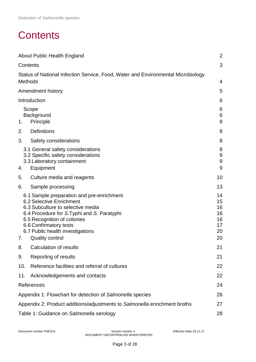## <span id="page-2-0"></span>**Contents**

|     | About Public Health England                                                                                                                                                                                                                                                      | $\overline{2}$                                 |
|-----|----------------------------------------------------------------------------------------------------------------------------------------------------------------------------------------------------------------------------------------------------------------------------------|------------------------------------------------|
|     | Contents                                                                                                                                                                                                                                                                         | 3                                              |
|     | Status of National Infection Service, Food, Water and Environmental Microbiology<br><b>Methods</b>                                                                                                                                                                               | 4                                              |
|     | Amendment history                                                                                                                                                                                                                                                                | 5                                              |
|     | Introduction                                                                                                                                                                                                                                                                     | 6                                              |
| 1.  | Scope<br>Background<br>Principle                                                                                                                                                                                                                                                 | 6<br>6<br>8                                    |
| 2.  | <b>Definitions</b>                                                                                                                                                                                                                                                               | 8                                              |
| 3.  | Safety considerations                                                                                                                                                                                                                                                            | 8                                              |
| 4.  | 3.1 General safety considerations<br>3.2 Specific safety considerations<br>3.3 Laboratory containment<br>Equipment                                                                                                                                                               | 8<br>$\boldsymbol{9}$<br>$\boldsymbol{9}$<br>9 |
| 5.  | Culture media and reagents                                                                                                                                                                                                                                                       | 10                                             |
| 6.  | Sample processing                                                                                                                                                                                                                                                                | 13                                             |
| 7.  | 6.1 Sample preparation and pre-enrichment<br>6.2 Selective Enrichment<br>6.3 Subculture to selective media<br>6.4 Procedure for S. Typhi and S. Paratyphi<br>6.5 Recognition of colonies<br>6.6 Confirmatory tests<br>6.7 Public health investigations<br><b>Quality control</b> | 14<br>15<br>16<br>16<br>16<br>17<br>20<br>20   |
| 8.  | Calculation of results                                                                                                                                                                                                                                                           | 21                                             |
| 9.  | Reporting of results                                                                                                                                                                                                                                                             | 21                                             |
| 10. | Reference facilities and referral of cultures                                                                                                                                                                                                                                    | 22                                             |
| 11. | Acknowledgements and contacts                                                                                                                                                                                                                                                    | 22                                             |
|     | References                                                                                                                                                                                                                                                                       | 24                                             |
|     | Appendix 1: Flowchart for detection of Salmonella species                                                                                                                                                                                                                        | 26                                             |
|     | Appendix 2: Product additions/adjustments to Salmonella enrichment broths                                                                                                                                                                                                        | 27                                             |
|     | Table 1: Guidance on Salmonella serology                                                                                                                                                                                                                                         | 28                                             |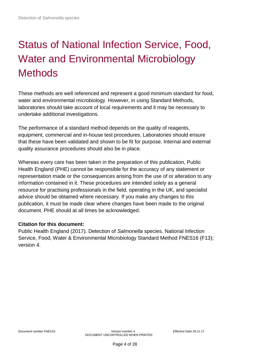# <span id="page-3-0"></span>Status of National Infection Service, Food, Water and Environmental Microbiology **Methods**

These methods are well referenced and represent a good minimum standard for food, water and environmental microbiology. However, in using Standard Methods, laboratories should take account of local requirements and it may be necessary to undertake additional investigations.

The performance of a standard method depends on the quality of reagents, equipment, commercial and in-house test procedures. Laboratories should ensure that these have been validated and shown to be fit for purpose. Internal and external quality assurance procedures should also be in place.

Whereas every care has been taken in the preparation of this publication, Public Health England (PHE) cannot be responsible for the accuracy of any statement or representation made or the consequences arising from the use of or alteration to any information contained in it. These procedures are intended solely as a general resource for practising professionals in the field, operating in the UK, and specialist advice should be obtained where necessary. If you make any changes to this publication, it must be made clear where changes have been made to the original document. PHE should at all times be acknowledged.

## **Citation for this document:**

Public Health England (2017). Detection of *Salmonella* species. National Infection Service, Food, Water & Environmental Microbiology Standard Method FNES16 (F13); version 4.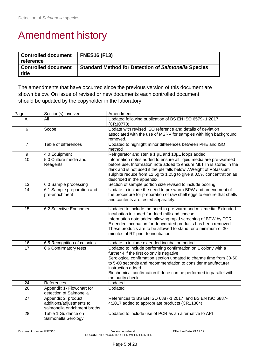## <span id="page-4-0"></span>Amendment history

| <b>Controlled document</b><br>reference | <b>FNES16 (F13)</b>                                        |
|-----------------------------------------|------------------------------------------------------------|
| <b>Controlled document</b><br>title     | <b>Standard Method for Detection of Salmonella Species</b> |

The amendments that have occurred since the previous version of this document are shown below. On issue of revised or new documents each controlled document should be updated by the copyholder in the laboratory.

| Page             | Section(s) involved          | Amendment                                                                                                         |
|------------------|------------------------------|-------------------------------------------------------------------------------------------------------------------|
| All              | All                          | Updated following publication of BS EN ISO 6579-1:2017                                                            |
|                  |                              | (CR10770)                                                                                                         |
| $\,6$            | Scope                        | Update with revised ISO reference and details of deviation                                                        |
|                  |                              | associated with the use of MSRV for samples with high background                                                  |
|                  |                              | removed.                                                                                                          |
| $\overline{7}$   | Table of differences         | Updated to highlight minor differences between PHE and ISO                                                        |
|                  |                              | method                                                                                                            |
| $\boldsymbol{9}$ | 4.0 Equipment                | Refrigerator and sterile 1 µL and 10µL loops added                                                                |
| 10               | 5.0 Culture media and        | Information notes added to ensure all liquid media are pre-warmed                                                 |
|                  | Reagents                     | before use. Information note added to ensure MkTTn is stored in the                                               |
|                  |                              | dark and is not used if the pH falls below 7. Weight of Potassium                                                 |
|                  |                              | sulphite reduce from 12.5g to 1.25g to give a 0.5% concentration as                                               |
|                  |                              | described in the appendix                                                                                         |
| 13               | 6.0 Sample processing        | Section of sample portion size revised to include pooling                                                         |
| 14               | 6.1 Sample preparation and   | Update to include the need to pre-warm BPW and amendment of                                                       |
|                  | pre-enrichment               | the procedure for preparation of raw shell eggs to ensure that shells                                             |
|                  |                              | and contents are tested separately.                                                                               |
| 15               |                              |                                                                                                                   |
|                  | 6.2 Selective Enrichment     | Updated to include the need to pre-warm and mix media. Extended<br>incubation included for dried milk and cheese. |
|                  |                              | Information note added allowing rapid screening of BPW by PCR.                                                    |
|                  |                              | Extended incubation for dehydrated products has been removed.                                                     |
|                  |                              | These products are to be allowed to stand for a minimum of 30                                                     |
|                  |                              | minutes at RT prior to incubation.                                                                                |
|                  |                              |                                                                                                                   |
| 16               | 6.5 Recognition of colonies  | Update to include extended incubation period                                                                      |
| 17               | 6.6 Confirmatory tests       | Updated to include performing confirmation on 1 colony with a                                                     |
|                  |                              | further 4 if the first colony is negative                                                                         |
|                  |                              | Serological confirmation section updated to change time from 30-60                                                |
|                  |                              | to 5-60 seconds and recommendation to consider manufacturer                                                       |
|                  |                              | instruction added.                                                                                                |
|                  |                              | Biochemical confirmation if done can be performed in parallel with                                                |
|                  |                              | the purity check                                                                                                  |
| 24               | References                   | Updated                                                                                                           |
| $\overline{26}$  | Appendix 1- Flowchart for    | Updated                                                                                                           |
|                  | detection of Salmonella      |                                                                                                                   |
| $\overline{27}$  | Appendix 2: product          | References to BS EN ISO 6887-1:2017 and BS EN ISO 6887-                                                           |
|                  | additions/adjustments to     | 4:2017 added to appropriate products (CR11364)                                                                    |
|                  | salmonella enrichment broths |                                                                                                                   |
| 28               | Table 1 Guidance on          | Updated to include use of PCR as an alternative to API                                                            |
|                  | Salmonella Serology          |                                                                                                                   |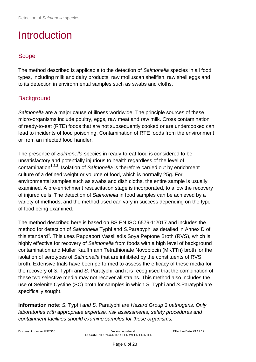## <span id="page-5-0"></span>Introduction

## <span id="page-5-1"></span>Scope

The method described is applicable to the detection of *Salmonella* species in all food types, including milk and dairy products, raw molluscan shellfish, raw shell eggs and to its detection in environmental samples such as swabs and cloths.

## <span id="page-5-2"></span>**Background**

*Salmonella* are a major cause of illness worldwide. The principle sources of these micro-organisms include poultry, eggs, raw meat and raw milk. Cross contamination of ready-to-eat (RTE) foods that are not subsequently cooked or are undercooked can lead to incidents of food poisoning. Contamination of RTE foods from the environment or from an infected food handler.

The presence of *Salmonella* species in ready-to-eat food is considered to be unsatisfactory and potentially injurious to health regardless of the level of contamination<sup>1,2,3</sup>. Isolation of *Salmonella* is therefore carried out by enrichment culture of a defined weight or volume of food, which is normally 25g. For environmental samples such as swabs and dish cloths, the entire sample is usually examined. A pre-enrichment resuscitation stage is incorporated, to allow the recovery of injured cells. The detection of *Salmonella* in food samples can be achieved by a variety of methods, and the method used can vary in success depending on the type of food being examined.

The method described here is based on BS EN ISO 6579-1:2017 and includes the method for detection of *Salmonella* Typhi and *S*.Parapyphi as detailed in Annex D of this standard<sup>4</sup>. This uses Rappaport Vassiliadis Soya Peptone Broth (RVS), which is highly effective for recovery of *Salmonella* from foods with a high level of background contamination and Muller Kauffmann Tetrathionate Novobiocin (MKTTn) broth for the isolation of serotypes of *Salmonella* that are inhibited by the constituents of RVS broth. Extensive trials have been performed to assess the efficacy of these media for the recovery of *S.* Typhi and *S*. Paratyphi, and it is recognised that the combination of these two selective media may not recover all strains. This method also includes the use of Selenite Cystine (SC) broth for samples in which *S.* Typhi and *S.*Paratyphi are specifically sought.

**Information note**: *S.* Typhi *and S.* Paratyphi *are Hazard Group 3 pathogens. Only laboratories with appropriate expertise, risk assessments, safety procedures and containment facilities should examine samples for these organisms.*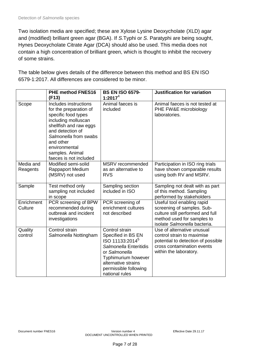Two isolation media are specified; these are Xylose Lysine Deoxycholate (XLD) agar and (modified) brilliant green agar (BGA). If *S.*Typhi or *S.* Paratyphi are being sought, Hynes Deoxycholate Citrate Agar (DCA) should also be used. This media does not contain a high concentration of brilliant green, which is thought to inhibit the recovery of some strains.

|                       | <b>PHE method FNES16</b><br>(F13)                                                                                                                                                                                                               | <b>BS EN ISO 6579-</b><br>1:2017 $4$                                                                                                                                                                    | <b>Justification for variation</b>                                                                                                                         |
|-----------------------|-------------------------------------------------------------------------------------------------------------------------------------------------------------------------------------------------------------------------------------------------|---------------------------------------------------------------------------------------------------------------------------------------------------------------------------------------------------------|------------------------------------------------------------------------------------------------------------------------------------------------------------|
| Scope                 | Includes instructions<br>for the preparation of<br>specific food types<br>including molluscan<br>shellfish and raw eggs<br>and detection of<br>Salmonella from swabs<br>and other<br>environmental<br>samples. Animal<br>faeces is not included | Animal faeces is<br>included                                                                                                                                                                            | Animal faeces is not tested at<br>PHE FW&E microbiology<br>laboratories.                                                                                   |
| Media and<br>Reagents | Modified semi-solid<br><b>Rappaport Medium</b><br>(MSRV) not used                                                                                                                                                                               | MSRV recommended<br>as an alternative to<br><b>RVS</b>                                                                                                                                                  | Participation in ISO ring trials<br>have shown comparable results<br>using both RV and MSRV.                                                               |
| Sample                | Test method only<br>sampling not included<br>in scope                                                                                                                                                                                           | Sampling section<br>included in ISO                                                                                                                                                                     | Sampling not dealt with as part<br>of this method. Sampling<br>performed by stakeholders                                                                   |
| Enrichment<br>Culture | PCR screening of BPW<br>recommended during<br>outbreak and incident<br>investigations                                                                                                                                                           | PCR screening of<br>enrichment cultures<br>not described                                                                                                                                                | Useful tool enabling rapid<br>screening of samples. Sub-<br>culture still performed and full<br>method used for samples to<br>isolate Salmonella bacteria. |
| Quality<br>control    | Control strain<br>Salmonella Nottingham                                                                                                                                                                                                         | Control strain<br>Specified in BS EN<br>ISO 11133:2014 <sup>5</sup><br>Salmonella Enteritidis<br>or Salmonella<br>Typhimurium however<br>alternative strains<br>permissible following<br>national rules | Use of alternative unusual<br>control strain to maximise<br>potential to detection of possible<br>cross contamination events<br>within the laboratory.     |

The table below gives details of the difference between this method and BS EN ISO 6579-1:2017. All differences are considered to be minor.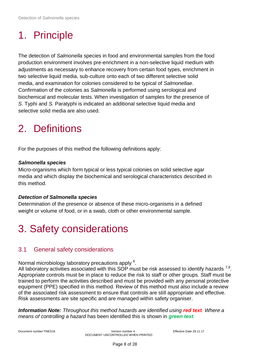# <span id="page-7-0"></span>1. Principle

The detection of *Salmonella* species in food and environmental samples from the food production environment involves pre-enrichment in a non-selective liquid medium with adjustments as necessary to enhance recovery from certain food types, enrichment in two selective liquid media, sub-culture onto each of two different selective solid media, and examination for colonies considered to be typical of *Salmonellae*. Confirmation of the colonies as *Salmonella* is performed using serological and biochemical and molecular tests. When investigation of samples for the presence of *S*. Typhi and *S.* Paratyphi is indicated an additional selective liquid media and selective solid media are also used.

## <span id="page-7-1"></span>2. Definitions

For the purposes of this method the following definitions apply:

### *Salmonella species*

Micro-organisms which form typical or less typical colonies on solid selective agar media and which display the biochemical and serological characteristics described in this method.

## *Detection of Salmonella species*

Determination of the presence or absence of these micro-organisms in a defined weight or volume of food, or in a swab, cloth or other environmental sample.

## <span id="page-7-2"></span>3. Safety considerations

## <span id="page-7-3"></span>3.1 General safety considerations

Normal microbiology laboratory precautions apply <sup>6</sup>.

All laboratory activities associated with this SOP must be risk assessed to identify hazards  $^{7,8}$ . Appropriate controls must be in place to reduce the risk to staff or other groups. Staff must be trained to perform the activities described and must be provided with any personal protective equipment (PPE) specified in this method. Review of this method must also include a review of the associated risk assessment to ensure that controls are still appropriate and effective. Risk assessments are site specific and are managed within safety organiser.

**Information Note:** Throughout this method hazards are identified using red text. Where a *means of controlling a hazard* has been identified this is shown in *green text.*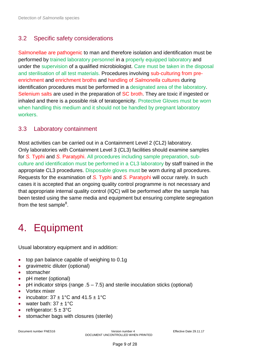## <span id="page-8-0"></span>3.2 Specific safety considerations

Salmonellae are pathogenic to man and therefore isolation and identification must be performed by trained laboratory personnel in a properly equipped laboratory and under the supervision of a qualified microbiologist. Care must be taken in the disposal and sterilisation of all test materials. Procedures involving sub-culturing from preenrichment and enrichment broths and handling of *Salmonella* cultures during identification procedures must be performed in a designated area of the laboratory. Selenium salts are used in the preparation of SC broth. They are toxic if ingested or inhaled and there is a possible risk of teratogenicity. Protective Gloves must be worn when handling this medium and it should not be handled by pregnant laboratory workers.

## <span id="page-8-1"></span>3.3 Laboratory containment

Most activities can be carried out in a Containment Level 2 (CL2) laboratory. Only laboratories with Containment Level 3 (CL3) facilities should examine samples for *S.* Typhi and *S.* Paratyphi. All procedures including sample preparation, subculture and identification must be performed in a CL3 laboratory by staff trained in the appropriate CL3 procedures. Disposable gloves must be worn during all procedures. Requests for the examination of *S.* Typhi and *S.* Paratyphi will occur rarely. In such cases it is accepted that an ongoing quality control programme is not necessary and that appropriate internal quality control (IQC) will be performed after the sample has been tested using the same media and equipment but ensuring complete segregation from the test sample<sup>8</sup>.

## <span id="page-8-2"></span>4. Equipment

Usual laboratory equipment and in addition:

- top pan balance capable of weighing to 0.1g
- aravimetric diluter (optional)
- stomacher
- pH meter (optional)
- pH indicator strips (range .5 7.5) and sterile inoculation sticks (optional)
- Vortex mixer
- incubator:  $37 \pm 1^{\circ}$ C and  $41.5 \pm 1^{\circ}$ C
- water bath:  $37 \pm 1^{\circ}$ C
- refrigerator:  $5 \pm 3^{\circ}$ C
- stomacher bags with closures (sterile)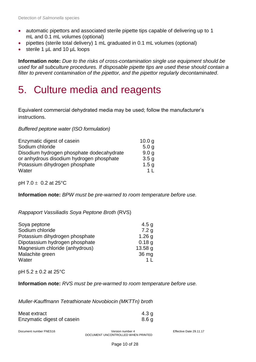- automatic pipettors and associated sterile pipette tips capable of delivering up to 1 mL and 0.1 mL volumes (optional)
- pipettes (sterile total delivery) 1 mL graduated in 0.1 mL volumes (optional)
- sterile 1 µL and 10 µL loops

**Information note:** *Due to the risks of cross-contamination single use equipment should be used for all subculture procedures. If disposable pipette tips are used these should contain a filter to prevent contamination of the pipettor, and the pipettor regularly decontaminated.* 

## <span id="page-9-0"></span>5. Culture media and reagents

Equivalent commercial dehydrated media may be used; follow the manufacturer's instructions.

*Buffered peptone water (ISO formulation)*

| Enzymatic digest of casein                | 10.0 <sub>q</sub> |
|-------------------------------------------|-------------------|
| Sodium chloride                           | 5.0 <sub>q</sub>  |
| Disodium hydrogen phosphate dodecahydrate | 9.0 <sub>q</sub>  |
| or anhydrous disodium hydrogen phosphate  | 3.5 <sub>q</sub>  |
| Potassium dihydrogen phosphate            | 1.5 <sub>q</sub>  |
| Water                                     | 1 I               |

pH 7.0  $\pm$  0.2 at 25°C

**Information note:** *BPW must be pre-warned to room temperature before use.*

*Rappaport Vassiliadis Soya Peptone Broth* (RVS)

| Soya peptone                   | 4.5 <sub>q</sub>   |
|--------------------------------|--------------------|
| Sodium chloride                | 7.2 <sub>q</sub>   |
| Potassium dihydrogen phosphate | 1.26 <sub>g</sub>  |
| Dipotassium hydrogen phosphate | 0.18q              |
| Magnesium chloride (anhydrous) | 13.58 <sub>q</sub> |
| Malachite green                | 36 mg              |
| Water                          |                    |

pH 5.2 ± 0.2 at 25°C

**Information note:** *RVS must be pre-warmed to room temperature before use.*

*Muller-Kauffmann Tetrathionate Novobiocin (MKTTn) broth*

| Meat extract               | 4.3 g |
|----------------------------|-------|
| Enzymatic digest of casein | 8.6 a |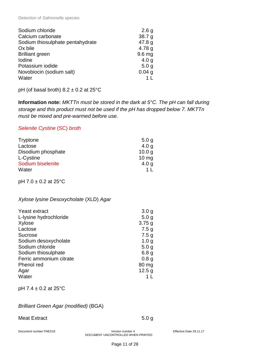| Sodium chloride                  | 2.6 <sub>g</sub>  |
|----------------------------------|-------------------|
| Calcium carbonate                | 38.7 <sub>g</sub> |
| Sodium thiosulphate pentahydrate | 47.8 <sub>g</sub> |
| Ox bile                          | 4.78 $q$          |
| <b>Brilliant green</b>           | 9.6 <sub>mg</sub> |
| <b>lodine</b>                    | 4.0 <sub>q</sub>  |
| Potassium iodide                 | 5.0 <sub>q</sub>  |
| Novobiocin (sodium salt)         | 0.04 <sub>g</sub> |
| Water                            |                   |

pH (of basal broth)  $8.2 \pm 0.2$  at  $25^{\circ}$ C

**Information note:** *MKTTn must be stored in the dark at 5°C. The pH can fall during storage and this product must not be used if the pH has dropped below 7. MKTTn must be mixed and pre-warmed before use.*

### *Selenite Cystine* (SC) *broth*

| Tryptone           | 5.0 <sub>q</sub>  |
|--------------------|-------------------|
| Lactose            | 4.0 <sub>q</sub>  |
| Disodium phosphate | 10.0 <sub>q</sub> |
| L-Cystine          | $10 \text{ mg}$   |
| Sodium biselenite  | 4.0 <sub>q</sub>  |
| Water              | 1 <sup>1</sup>    |

pH 7.0 ± 0.2 at 25°C

#### *Xylose lysine Desoxycholate* (XLD) *Agar*

| Yeast extract           | 3.0 <sub>g</sub> |
|-------------------------|------------------|
| L-lysine hydrochloride  | 5.0 <sub>q</sub> |
| Xylose                  | 3.75g            |
| Lactose                 | 7.5 <sub>g</sub> |
| <b>Sucrose</b>          | 7.5 <sub>g</sub> |
| Sodium desoxycholate    | 1.0 <sub>g</sub> |
| Sodium chloride         | 5.0 <sub>q</sub> |
| Sodium thiosulphate     | 6.8 <sub>g</sub> |
| Ferric ammonium citrate | 0.8 <sub>g</sub> |
| Phenol red              | 80 mg            |
| Agar                    | 12.5 g           |
| Water                   |                  |

pH 7.4 ± 0.2 at 25°C

### *Brilliant Green Agar (modified)* (BGA)

#### Meat Extract 5.0 g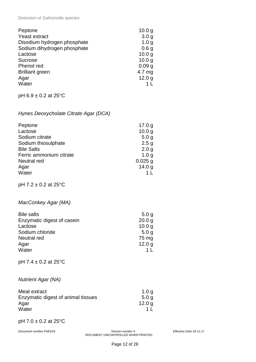Detection of *Salmonella* species

| Peptone                     | 10.0 <sub>g</sub> |
|-----------------------------|-------------------|
| Yeast extract               | 3.0 <sub>q</sub>  |
| Disodium hydrogen phosphate | 1.0 <sub>q</sub>  |
| Sodium dihydrogen phosphate | 0.6 <sub>g</sub>  |
| Lactose                     | 10.0 <sub>q</sub> |
| <b>Sucrose</b>              | 10.0 <sub>q</sub> |
| Phenol red                  | 0.09 <sub>q</sub> |
| <b>Brilliant green</b>      | 4.7 mg            |
| Agar                        | 12.0 <sub>g</sub> |
| Water                       |                   |
|                             |                   |

pH 6.9 ± 0.2 at 25°C

## *Hynes Deoxycholate Citrate Agar (DCA)*

| Peptone                 | 17.0 g            |
|-------------------------|-------------------|
| Lactose                 | 10.0 <sub>q</sub> |
| Sodium citrate          | 5.0 <sub>q</sub>  |
| Sodium thiosulphate     | 2.5 <sub>g</sub>  |
| <b>Bile Salts</b>       | 2.0 <sub>q</sub>  |
| Ferric ammonium citrate | 1.0 <sub>q</sub>  |
| Neutral red             | $0.025$ g         |
| Agar                    | 14.0 <sub>q</sub> |
| Water                   |                   |

pH 7.2 ± 0.2 at 25°C

## *MacConkey Agar (MA)*

| <b>Bile salts</b>          | 5.0 <sub>q</sub>  |
|----------------------------|-------------------|
| Enzymatic digest of casein | 20.0 <sub>q</sub> |
| Lactose                    | 10.0 <sub>q</sub> |
| Sodium chloride            | 5.0 <sub>q</sub>  |
| Neutral red                | 75 mg             |
| Agar                       | 12.0 <sub>q</sub> |
| Water                      |                   |

pH 7.4 ± 0.2 at 25°C

### *Nutrient Agar (NA)*

| Meat extract                       | 1.0 a             |
|------------------------------------|-------------------|
| Enzymatic digest of animal tissues | 5.0 <sub>a</sub>  |
| Agar                               | 12.0 <sub>q</sub> |
| Water                              |                   |

#### pH 7.0 ± 0.2 at 25°C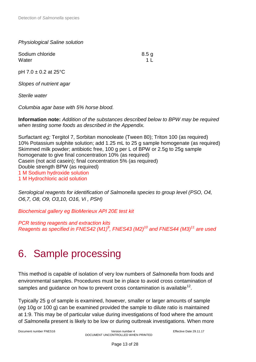*Physiological Saline solution*

Sodium chloride 8.5 g Water **1** L

pH 7.0 ± 0.2 at 25°C

*Slopes of nutrient agar*

*Sterile water*

*Columbia agar base with 5% horse blood.*

**Information note:** *Addition of the substances described below to BPW may be required when testing some foods as described in the Appendix.*

Surfactant *eg;* Tergitol 7, Sorbitan monooleate (Tween 80); Triton 100 (as required) 10% Potassium sulphite solution; add 1.25 mL to 25 g sample homogenate (as required) Skimmed milk powder; antibiotic free, 100 g per L of BPW or 2.5g to 25g sample homogenate to give final concentration 10% (as required) Casein (not acid casein); final concentration 5% (as required) Double strength BPW (as required) 1 M Sodium hydroxide solution 1 M Hydrochloric acid solution

*Serological reagents for identification of Salmonella species to group level (PSO, O4, O6,7, O8, O9, O3,10, O16, Vi , PSH)*

*Biochemical gallery eg BioMerieux API 20E test kit*

*PCR testing reagents and extraction kits Reagents as specified in FNES42 (M1)<sup>9</sup> , FNES43 (M2) 10 and FNES44 (M3) 11 are used*

## <span id="page-12-0"></span>6. Sample processing

This method is capable of isolation of very low numbers of *Salmonella* from foods and environmental samples. Procedures must be in place to avoid cross contamination of samples and guidance on how to prevent cross contamination is available<sup>12</sup>.

Typically 25 g of sample is examined, however, smaller or larger amounts of sample (*eg* 10g or 100 g) can be examined provided the sample to dilute ratio is maintained at 1:9. This may be of particular value during investigations of food where the amount of *Salmonella* present is likely to be low or during outbreak investigations. When more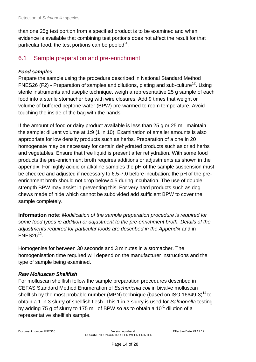than one 25g test portion from a specified product is to be examined and when evidence is available that combining test portions does not affect the result for that particular food, the test portions can be pooled<sup>20</sup>.

## <span id="page-13-0"></span>6.1 Sample preparation and pre-enrichment

## *Food samples*

Prepare the sample using the procedure described in National Standard Method FNES26 (F2) - Preparation of samples and dilutions, plating and sub-culture<sup>12</sup>. Using sterile instruments and aseptic technique, weigh a representative 25 g sample of each food into a sterile stomacher bag with wire closures. Add 9 times that weight or volume of buffered peptone water (BPW) pre-warmed to room temperature. Avoid touching the inside of the bag with the hands.

If the amount of food or dairy product available is less than 25 g or 25 mL maintain the sample: diluent volume at 1:9 (1 in 10). Examination of smaller amounts is also appropriate for low density products such as herbs. Preparation of a one in 20 homogenate may be necessary for certain dehydrated products such as dried herbs and vegetables. Ensure that free liquid is present after rehydration. With some food products the pre-enrichment broth requires additions or adjustments as shown in the appendix. For highly acidic or alkaline samples the pH of the sample suspension must be checked and adjusted if necessary to 6.5-7.0 before incubation; the pH of the preenrichment broth should not drop below 4.5 during incubation. The use of double strength BPW may assist in preventing this. For very hard products such as dog chews made of hide which cannot be subdivided add sufficient BPW to cover the sample completely.

**Information note**: *Modification of the sample preparation procedure is required for some food types ie addition or adjustment to the pre-enrichment broth. Details of the adjustments required for particular foods are described in the Appendix* and in  $FNES26<sup>12</sup>$ .

Homogenise for between 30 seconds and 3 minutes in a stomacher. The homogenisation time required will depend on the manufacturer instructions and the type of sample being examined.

## *Raw Molluscan Shellfish*

For molluscan shellfish follow the sample preparation procedures described in CEFAS Standard Method Enumeration of *Escherichia coli* in bivalve molluscan shellfish by the most probable number (MPN) technique (based on ISO 16649-3)<sup>14</sup> to obtain a 1 in 3 slurry of shellfish flesh. This 1 in 3 slurry is used for *Salmonella* testing by adding 75 g of slurry to 175 mL of BPW so as to obtain a 10<sup>-1</sup> dilution of a representative shellfish sample.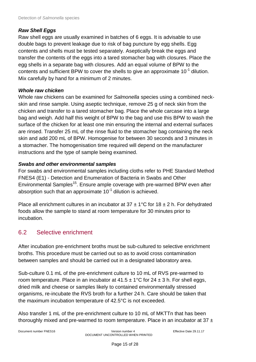### *Raw Shell Eggs*

Raw shell eggs are usually examined in batches of 6 eggs. It is advisable to use double bags to prevent leakage due to risk of bag puncture by egg shells. Egg contents and shells must be tested separately. Aseptically break the eggs and transfer the contents of the eggs into a tared stomacher bag with closures. Place the egg shells in a separate bag with closures. Add an equal volume of BPW to the contents and sufficient BPW to cover the shells to give an approximate 10<sup>-1</sup> dilution. Mix carefully by hand for a minimum of 2 minutes.

### *Whole raw chicken*

Whole raw chickens can be examined for *Salmonella* species using a combined neckskin and rinse sample. Using aseptic technique, remove 25 g of neck skin from the chicken and transfer to a tared stomacher bag. Place the whole carcase into a large bag and weigh. Add half this weight of BPW to the bag and use this BPW to wash the surface of the chicken for at least one min ensuring the internal and external surfaces are rinsed. Transfer 25 mL of the rinse fluid to the stomacher bag containing the neck skin and add 200 mL of BPW. Homogenise for between 30 seconds and 3 minutes in a stomacher. The homogenisation time required will depend on the manufacturer instructions and the type of sample being examined.

## *Swabs and other environmental samples*

For swabs and environmental samples including cloths refer to PHE Standard Method FNES4 (E1) - Detection and Enumeration of Bacteria in Swabs and Other Environmental Samples<sup>15</sup>. Ensure ample coverage with pre-warmed BPW even after absorption such that an approximate 10<sup>-1</sup> dilution is achieved.

Place all enrichment cultures in an incubator at  $37 \pm 1^{\circ}$ C for  $18 \pm 2$  h. For dehydrated foods allow the sample to stand at room temperature for 30 minutes prior to incubation.

## <span id="page-14-0"></span>6.2 Selective enrichment

After incubation pre-enrichment broths must be sub-cultured to selective enrichment broths. This procedure must be carried out so as to avoid cross contamination between samples and should be carried out in a designated laboratory area.

Sub-culture 0.1 mL of the pre-enrichment culture to 10 mL of RVS pre-warmed to room temperature. Place in an incubator at  $41.5 \pm 1^{\circ}$ C for  $24 \pm 3$  h. For shell eggs, dried milk and cheese or samples likely to contained environmentally stressed organisms, re-incubate the RVS broth for a further 24 h. Care should be taken that the maximum incubation temperature of 42.5°C is not exceeded.

Also transfer 1 mL of the pre-enrichment culture to 10 mL of MKTTn that has been thoroughly mixed and pre-warmed to room temperature. Place in an incubator at 37  $\pm$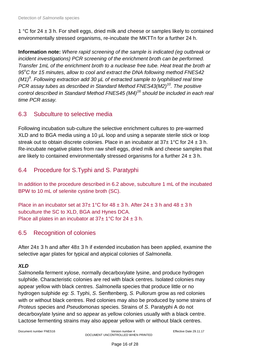1 °C for 24  $\pm$  3 h. For shell eggs, dried milk and cheese or samples likely to contained environmentally stressed organisms, re-incubate the MKTTn for a further 24 h.

**Information note:** *Where rapid screening of the sample is indicated (eg outbreak or incident investigations) PCR screening of the enrichment broth can be performed. Transfer 1mL of the enrichment broth to a nuclease free tube. Heat treat the broth at 95<sup>o</sup>C for 15 minutes, allow to cool and extract the DNA following method FNES42 (M1)<sup>9</sup> . Following extraction add 30 µL of extracted sample to lyophilised real time PCR assay tubes as described in Standard Method FNES43(M2)<sup>10</sup>. The positive control described in Standard Method FNES45 (M4)<sup>16</sup> should be included in each real time PCR assay.*

## <span id="page-15-0"></span>6.3 Subculture to selective media

Following incubation sub-culture the selective enrichment cultures to pre-warmed XLD and to BGA media using a 10 µL loop and using a separate sterile stick or loop streak out to obtain discrete colonies. Place in an incubator at  $37\pm1^{\circ}$ C for  $24\pm3$  h. Re-incubate negative plates from raw shell eggs, dried milk and cheese samples that are likely to contained environmentally stressed organisms for a further  $24 \pm 3$  h.

## <span id="page-15-1"></span>6.4 Procedure for S.Typhi and S. Paratyphi

In addition to the procedure described in 6.2 above, subculture 1 mL of the incubated BPW to 10 mL of selenite cystine broth (SC).

Place in an incubator set at  $37\pm1^{\circ}$ C for  $48\pm3$  h. After  $24\pm3$  h and  $48\pm3$  h subculture the SC to XLD, BGA and Hynes DCA. Place all plates in an incubator at  $37\pm1\degree$ C for  $24\pm3$  h.

## <span id="page-15-2"></span>6.5 Recognition of colonies

After 24± 3 h and after 48± 3 h if extended incubation has been applied, examine the selective agar plates for typical and atypical colonies of *Salmonella*.

## *XLD*

*Salmonella* ferment xylose, normally decarboxylate lysine, and produce hydrogen sulphide. Characteristic colonies are red with black centres. Isolated colonies may appear yellow with black centres. *Salmonella* species that produce little or no hydrogen sulphide *eg: S*. Typhi, *S*. Senftenberg, *S.* Pullorum grow as red colonies with or without black centres. Red colonies may also be produced by some strains of *Proteus* species and *Pseudomonas* species. Strains of *S*. Paratyphi A do not decarboxylate lysine and so appear as yellow colonies usually with a black centre. Lactose fermenting strains may also appear yellow with or without black centres.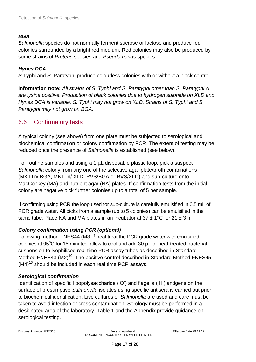## *BGA*

*Salmonella* species do not normally ferment sucrose or lactose and produce red colonies surrounded by a bright red medium. Red colonies may also be produced by some strains of *Proteus* species and *Pseudomonas* species.

## *Hynes DCA*

*S*.Typhi and *S*. Paratyphi produce colourless colonies with or without a black centre.

**Information note:** *All strains of S .Typhi and S. Paratyphi other than S. Paratyphi A are lysine positive. Production of black colonies due to hydrogen sulphide on XLD and Hynes DCA is variable. S. Typhi may not grow on XLD. Strains of S. Typhi and S. Paratyphi may not grow on BGA.*

## <span id="page-16-0"></span>6.6 Confirmatory tests

A typical colony (see above) from one plate must be subjected to serological and biochemical confirmation or colony confirmation by PCR. The extent of testing may be reduced once the presence of *Salmonella* is established (see below).

For routine samples and using a 1 µL disposable plastic loop, pick a suspect *Salmonella* colony from any one of the selective agar plate/broth combinations (MKTTn/ BGA, MKTTn/ XLD, RVS/BGA or RVS/XLD) and sub-culture onto MacConkey (MA) and nutrient agar (NA) plates. If confirmation tests from the initial colony are negative pick further colonies up to a total of 5 per sample.

If confirming using PCR the loop used for sub-culture is carefully emulsified in 0.5 mL of PCR grade water. All picks from a sample (up to 5 colonies) can be emulsified in the same tube. Place NA and MA plates in an incubator at  $37 \pm 1^{\circ}$ C for  $21 \pm 3$  h.

## *Colony confirmation using PCR (optional)*

Following method FNES44 ( $M3<sup>11</sup>$ ) heat treat the PCR grade water with emulsified colonies at  $95^{\circ}$ C for 15 minutes, allow to cool and add 30  $\mu$ L of heat-treated bacterial suspension to lyophilised real time PCR assay tubes as described in Standard Method FNES43 (M2)<sup>10</sup>. The positive control described in Standard Method FNES45  $(M4)$ <sup>16</sup> should be included in each real time PCR assays.

## *Serological confirmation*

Identification of specific lipopolysaccharide ('O') and flagella ('H') antigens on the surface of presumptive *Salmonella* isolates using specific antisera is carried out prior to biochemical identification. Live cultures of *Salmonella* are used and care must be taken to avoid infection or cross contamination. Serology must be performed in a designated area of the laboratory. Table 1 and the Appendix provide guidance on serological testing.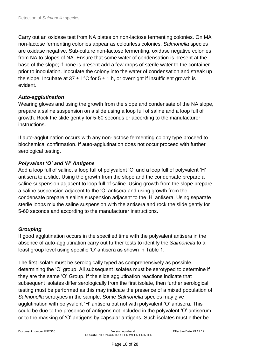Carry out an oxidase test from NA plates on non-lactose fermenting colonies. On MA non-lactose fermenting colonies appear as colourless colonies. *Salmonella* species are oxidase negative. Sub-culture non-lactose fermenting, oxidase negative colonies from NA to slopes of NA. Ensure that some water of condensation is present at the base of the slope; if none is present add a few drops of sterile water to the container prior to inoculation. Inoculate the colony into the water of condensation and streak up the slope. Incubate at  $37 \pm 1^{\circ}$ C for  $5 \pm 1$  h, or overnight if insufficient growth is evident.

## *Auto-agglutination*

Wearing gloves and using the growth from the slope and condensate of the NA slope, prepare a saline suspension on a slide using a loop full of saline and a loop full of growth. Rock the slide gently for 5-60 seconds or according to the manufacturer instructions.

If auto-agglutination occurs with any non-lactose fermenting colony type proceed to biochemical confirmation. If auto-agglutination does not occur proceed with further serological testing.

## *Polyvalent 'O' and 'H' Antigens*

Add a loop full of saline, a loop full of polyvalent 'O' and a loop full of polyvalent 'H' antisera to a slide. Using the growth from the slope and the condensate prepare a saline suspension adjacent to loop full of saline. Using growth from the slope prepare a saline suspension adjacent to the 'O' antisera and using growth from the condensate prepare a saline suspension adjacent to the 'H' antisera. Using separate sterile loops mix the saline suspension with the antisera and rock the slide gently for 5-60 seconds and according to the manufacturer instructions.

## *Grouping*

If good agglutination occurs in the specified time with the polyvalent antisera in the absence of auto-agglutination carry out further tests to identify the *Salmonella* to a least group level using specific 'O' antisera as shown in Table 1.

The first isolate must be serologically typed as comprehensively as possible, determining the 'O' group. All subsequent isolates must be serotyped to determine if they are the same 'O' Group. If the slide agglutination reactions indicate that subsequent isolates differ serologically from the first isolate, then further serological testing must be performed as this may indicate the presence of a mixed population of *Salmonella* serotypes in the sample. Some *Salmonella* species may give agglutination with polyvalent 'H' antisera but not with polyvalent 'O' antisera. This could be due to the presence of antigens not included in the polyvalent 'O' antiserum or to the masking of 'O' antigens by capsular antigens. Such isolates must either be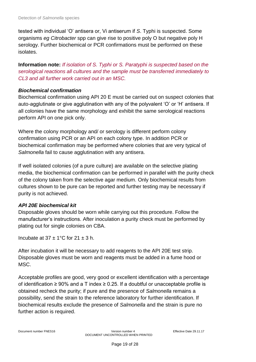tested with individual 'O' antisera or, Vi antiserum if *S*. Typhi is suspected. Some organisms *eg Citrobacter* spp can give rise to positive poly O but negative poly H serology. Further biochemical or PCR confirmations must be performed on these isolates.

**Information note:** *If isolation of S. Typhi or S. Paratyphi is suspected based on the serological reactions all cultures and the sample must be transferred immediately to CL3 and all further work carried out in an MSC.*

### *Biochemical confirmation*

Biochemical confirmation using API 20 E must be carried out on suspect colonies that auto-agglutinate or give agglutination with any of the polyvalent 'O' or 'H' antisera. If all colonies have the same morphology and exhibit the same serological reactions perform API on one pick only.

Where the colony morphology and/ or serology is different perform colony confirmation using PCR or an API on each colony type. In addition PCR or biochemical confirmation may be performed where colonies that are very typical of *Salmonella* fail to cause agglutination with any antisera.

If well isolated colonies (of a pure culture) are available on the selective plating media, the biochemical confirmation can be performed in parallel with the purity check of the colony taken from the selective agar medium. Only biochemical results from cultures shown to be pure can be reported and further testing may be necessary if purity is not achieved.

## *API 20E biochemical kit*

Disposable gloves should be worn while carrying out this procedure. Follow the manufacturer's instructions. After inoculation a purity check must be performed by plating out for single colonies on CBA.

Incubate at  $37 + 1^{\circ}$ C for  $21 + 3$  h.

After incubation it will be necessary to add reagents to the API 20E test strip. Disposable gloves must be worn and reagents must be added in a fume hood or MSC.

Acceptable profiles are good, very good or excellent identification with a percentage of identification ≥ 90% and a T index ≥ 0.25. If a doubtful or unacceptable profile is obtained recheck the purity; if pure and the presence of *Salmonella* remains a possibility, send the strain to the reference laboratory for further identification. If biochemical results exclude the presence of *Salmonella* and the strain is pure no further action is required.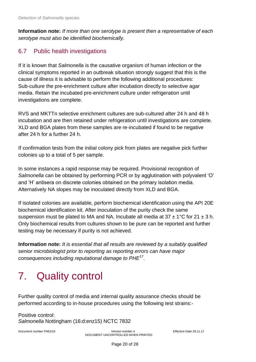**Information note:** *If more than one serotype is present then a representative of each serotype must also be identified biochemically.*

## <span id="page-19-0"></span>6.7 Public health investigations

If it is known that *Salmonella* is the causative organism of human infection or the clinical symptoms reported in an outbreak situation strongly suggest that this is the cause of illness it is advisable to perform the following additional procedures: Sub-culture the pre-enrichment culture after incubation directly to selective agar media. Retain the incubated pre-enrichment culture under refrigeration until investigations are complete.

RVS and MKTTn selective enrichment cultures are sub-cultured after 24 h and 48 h incubation and are then retained under refrigeration until investigations are complete. XLD and BGA plates from these samples are re-incubated if found to be negative after 24 h for a further 24 h.

If confirmation tests from the initial colony pick from plates are negative pick further colonies up to a total of 5 per sample.

In some instances a rapid response may be required. Provisional recognition of *Salmonella* can be obtained by performing PCR or by agglutination with polyvalent 'O' and 'H' antisera on discrete colonies obtained on the primary isolation media. Alternatively NA slopes may be inoculated directly from XLD and BGA.

If isolated colonies are available, perform biochemical identification using the API 20E biochemical identification kit. After inoculation of the purity check the same suspension must be plated to MA and NA. Incubate all media at  $37 \pm 1^{\circ}$ C for  $21 \pm 3$  h. Only biochemical results from cultures shown to be pure can be reported and further testing may be necessary if purity is not achieved.

**Information note:** *It is essential that all results are reviewed by a suitably qualified senior microbiologist prior to reporting as reporting errors can have major consequences including reputational damage to PHE*<sup>17</sup> *.*

## <span id="page-19-1"></span>7. Quality control

Further quality control of media and internal quality assurance checks should be performed according to in-house procedures using the following test strains:-

Positive control: *Salmonella* Nottingham (16:d:enz15) NCTC 7832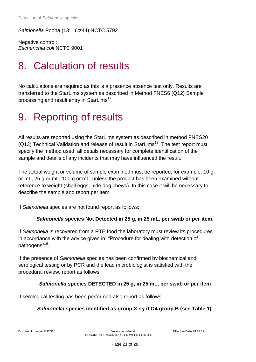*Salmonella* Poona (13:1,6:z44) NCTC 5792

Negative control: *Escherichia coli* NCTC 9001

## <span id="page-20-0"></span>8. Calculation of results

No calculations are required as this is a presence absence test only. Results are transferred to the StarLims system as described in Method FNES6 (Q12) Sample processing and result entry in StarLims $^{\mathsf{17}}$  .

## <span id="page-20-1"></span>9. Reporting of results

All results are reported using the StarLims system as described in method FNES20  $(Q13)$  Technical Validation and release of result in StarLims<sup>19</sup>. The test report must specify the method used, all details necessary for complete identification of the sample and details of any incidents that may have influenced the result.

The actual weight or volume of sample examined must be reported, for example, 10 g or mL, 25 g or mL, 100 g or mL, unless the product has been examined without reference to weight (shell eggs, hide dog chews). In this case it will be necessary to describe the sample and report per item.

If *Salmonella* species are not found report as follows:

#### *Salmonella* **species Not Detected in 25 g, in 25 mL, per swab or per item.**

If *Salmonella* is recovered from a RTE food the laboratory must review its procedures in accordance with the advice given in: "Procedure for dealing with detection of pathogens"<sup>16</sup>.

If the presence of *Salmonella* species has been confirmed by biochemical and serological testing or by PCR and the lead microbiologist is satisfied with the procedural review, report as follows:

#### *Salmonella* **species DETECTED in 25 g, in 25 mL, per swab or per item**

If serological testing has been performed also report as follows:

## *Salmonella* **species identified as group X** *eg* **if O4 group B (see Table 1).**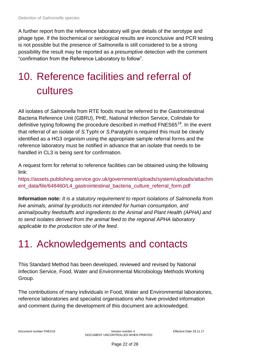A further report from the reference laboratory will give details of the serotype and phage type. If the biochemical or serological results are inconclusive and PCR testing is not possible but the presence of *Salmonella* is still considered to be a strong possibility the result may be reported as a presumptive detection with the comment "confirmation from the Reference Laboratory to follow".

# <span id="page-21-0"></span>10. Reference facilities and referral of cultures

All isolates of *Salmonella* from RTE foods must be referred to the Gastrointestinal Bacteria Reference Unit (GBRU), PHE, National Infection Service, Colindale for definitive typing following the procedure described in method FNES65<sup>19</sup>. In the event that referral of an isolate of *S.*Typhi or *S.*Paratyphi is required this must be clearly identified as a HG3 organism using the appropriate sample referral forms and the reference laboratory must be notified in advance that an isolate that needs to be handled in CL3 is being sent for confirmation.

A request form for referral to reference facilities can be obtained using the following link:

[https://assets.publishing.service.gov.uk/government/uploads/system/uploads/attachm](https://assets.publishing.service.gov.uk/government/uploads/system/uploads/attachment_data/file/648460/L4_gastrointestinal_bacteria_culture_referral_form.pdf) ent data/file/648460/L4 gastrointestinal bacteria culture referral form.pdf

**Information note:** *It is a statutory requirement to report isolations of Salmonella from live animals, animal by-products not intended for human consumption, and animal/poultry feedstuffs and ingredients to the Animal and Plant Health (APHA) and to send isolates derived from the animal feed to the regional APHA laboratory applicable to the production site of the feed.* 

## <span id="page-21-1"></span>11. Acknowledgements and contacts

This Standard Method has been developed, reviewed and revised by National Infection Service, Food, Water and Environmental Microbiology Methods Working Group.

The contributions of many individuals in Food, Water and Environmental laboratories, reference laboratories and specialist organisations who have provided information and comment during the development of this document are acknowledged.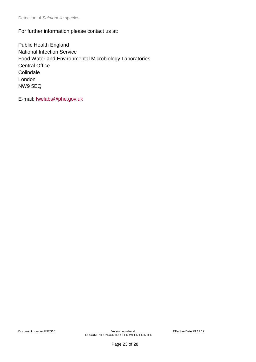For further information please contact us at:

Public Health England National Infection Service Food Water and Environmental Microbiology Laboratories Central Office **Colindale** London NW9 5EQ

E-mail: [fwelabs@phe.gov.uk](mailto:fwelabs@phe.gov.uk)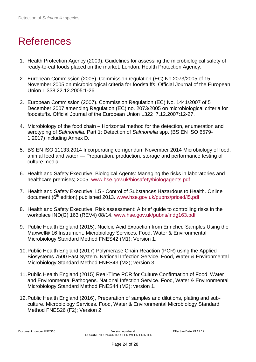## <span id="page-23-0"></span>References

- 1. Health Protection Agency (2009). Guidelines for assessing the microbiological safety of ready-to-eat foods placed on the market. London: Health Protection Agency.
- 2. European Commission (2005). Commission regulation (EC) No 2073/2005 of 15 November 2005 on microbiological criteria for foodstuffs. Official Journal of the European Union L 338 22.12.2005:1-26.
- 3. European Commission (2007). Commission Regulation (EC) No. 1441/2007 of 5 December 2007 amending Regulation (EC) no. 2073/2005 on microbiological criteria for foodstuffs. Official Journal of the European Union L322 7.12.2007:12-27.
- 4. Microbiology of the food chain Horizontal method for the detection, enumeration and serotyping of *Salmonella*. Part 1: Detection of *Salmonella* spp. (BS EN ISO 6579- 1:2017) including Annex D.
- 5. BS EN ISO 11133:2014 Incorporating corrigendum November 2014 Microbiology of food, animal feed and water — Preparation, production, storage and performance testing of culture media
- 6. Health and Safety Executive. Biological Agents: Managing the risks in laboratories and healthcare premises; 2005. [www.hse.gov.uk/biosafety/biologagents.pdf](http://www.hse.gov.uk/biosafety/biologagents.pdf)
- 7. Health and Safety Executive. L5 Control of Substances Hazardous to Health. Online document (6<sup>th</sup> edition) published 2013. [www.hse.gov.uk/pubns/priced/l5.pdf](http://www.hse.gov.uk/pubns/priced/l5.pdf)
- 8. Health and Safety Executive. Risk assessment: A brief guide to controlling risks in the workplace IND(G) 163 (REV4) 08/14. [www.hse.gov.uk/pubns/indg163.pdf](http://www.hse.gov.uk/pubns/indg163.pdf)
- 9. Public Health England (2015). Nucleic Acid Extraction from Enriched Samples Using the Maxwell® 16 Instrument. Microbiology Services. Food, Water & Environmental Microbiology Standard Method FNES42 (M1); Version 1.
- 10.Public Health England (2017) Polymerase Chain Reaction (PCR) using the Applied Biosystems 7500 Fast System. National Infection Service. Food, Water & Environmental Microbiology Standard Method FNES43 (M2); version 3.
- 11.Public Health England (2015) Real-Time PCR for Culture Confirmation of Food, Water and Environmental Pathogens. National Infection Service. Food, Water & Environmental Microbiology Standard Method FNES44 (M3); version 1.
- 12.Public Health England (2016), Preparation of samples and dilutions, plating and subculture. Microbiology Services. Food, Water & Environmental Microbiology Standard Method FNES26 (F2); Version 2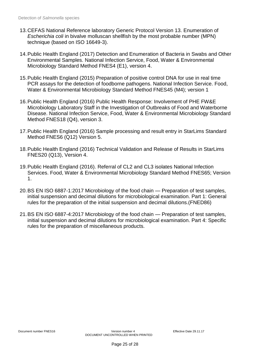- 13.CEFAS National Reference laboratory Generic Protocol Version 13. Enumeration of *Escherichia coli* in bivalve molluscan shellfish by the most probable number (MPN) technique (based on ISO 16649-3).
- 14.Public Health England (2017) Detection and Enumeration of Bacteria in Swabs and Other Environmental Samples. National Infection Service, Food, Water & Environmental Microbiology Standard Method FNES4 (E1), version 4.
- 15.Public Health England (2015) Preparation of positive control DNA for use in real time PCR assays for the detection of foodborne pathogens. National Infection Service. Food, Water & Environmental Microbiology Standard Method FNES45 (M4); version 1
- 16.Public Health England (2016) Public Health Response: Involvement of PHE FW&E Microbiology Laboratory Staff in the Investigation of Outbreaks of Food and Waterborne Disease. National Infection Service, Food, Water & Environmental Microbiology Standard Method FNES18 (Q4), version 3.
- 17.Public Health England (2016) Sample processing and result entry in StarLims Standard Method FNES6 (Q12) Version 5.
- 18.Public Health England (2016) Technical Validation and Release of Results in StarLims FNES20 (Q13), Version 4.
- 19.Public Health England (2016). Referral of CL2 and CL3 isolates National Infection Services. Food, Water & Environmental Microbiology Standard Method FNES65; Version 1.
- 20.BS EN ISO 6887-1:2017 Microbiology of the food chain Preparation of test samples, initial suspension and decimal dilutions for microbiological examination. Part 1: General rules for the preparation of the initial suspension and decimal dilutions.(FNED86)
- 21.BS EN ISO 6887-4:2017 Microbiology of the food chain Preparation of test samples, initial suspension and decimal dilutions for microbiological examination. Part 4: Specific rules for the preparation of miscellaneous products.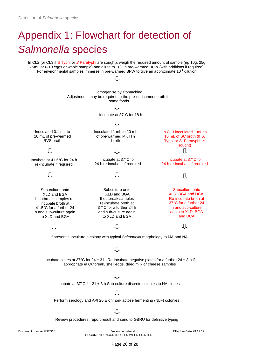# <span id="page-25-0"></span>Appendix 1: Flowchart for detection of *Salmonella* species

In CL2 (or CL3 if *S* Typhi or *S* Paratyphi are sought), weigh the required amount of sample (*eg* 10g, 25g, 75mL or 6-10 eggs or whole sample) and dilute to 10<sup>-1</sup> in pre-warmed BPW (with additions if required). For environmental samples immerse in pre-warmed BPW to give an approximate 10 $<sup>-1</sup>$  dilution.</sup>

Л

Homogenise by stomaching. Adjustments may be required to the pre-enrichment broth for some foods Л

Incubate at 37°C for 18 h

#### Л

Inoculated 1 mL to 10 mL of pre-warmed MKTTn broth

Incubate at 37°C for 24 h re-incubate if required

Л

Subculture onto XLD and BGA If outbreak samples re-incubate broth at 37°C for a further 24 h and sub-culture again to XLD and BGA

Л

Inoculated 0.1 mL to 10 mL of pre-warmed RVS broth

Л

Incubate at 41.5°C for 24 h re-incubate if required

#### Л

Sub-culture onto XLD and BGA If outbreak samples reincubate broth at 41.5°C for a further 24 h and sub-culture again to XLD and BGA

几

Л If present subculture a colony with typical *Salmonella* morphology to MA and NA.

#### Л

Incubate plates at 37°C for 24  $\pm$  3 h. Re-incubate negative plates for a further 24  $\pm$  3 h if appropriate *ie* Outbreak, shell eggs, dried milk or cheese samples

#### Л

Incubate at  $37^{\circ}$ C for  $21 \pm 3$  h Sub-culture discrete colonies to NA slopes

几

Perform serology and API 20 E on non-lactose fermenting (NLF) colonies

几

Review procedures, report result and send to GBRU for definitive typing

Document number FNES16 Version number 4 Effective Date 29.11.17 DOCUMENT UNCONTROLLED WHEN PRINTED

In CL3 inoculated 1 mL to 10 mL of SC broth (If *S*. Typhi or *S.* Paratyphi is sought) Л

Incubate at 37°C for 24 h re-incubate if required

几

Subculture onto XLD, BGA and DCA. Re-incubate broth at 37°C for a further 24 h and sub-culture again to XLD, BGA and DCA

Л

Page 26 of 28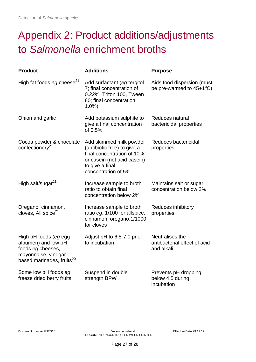# <span id="page-26-0"></span>Appendix 2: Product additions/adjustments to *Salmonella* enrichment broths

| <b>Product</b>                                                                                                                    | <b>Additions</b>                                                                                                                                              | <b>Purpose</b>                                                   |  |
|-----------------------------------------------------------------------------------------------------------------------------------|---------------------------------------------------------------------------------------------------------------------------------------------------------------|------------------------------------------------------------------|--|
| High fat foods $eg$ cheese <sup>21</sup>                                                                                          | Add surfactant (eg tergitol<br>7; final concentration of<br>0.22%, Triton 100, Tween<br>80; final concentration<br>1.0%                                       | Aids food dispersion (must<br>be pre-warmed to $45+1^{\circ}C$ ) |  |
| Onion and garlic                                                                                                                  | Add potassium sulphite to<br>give a final concentration<br>of 0.5%                                                                                            | Reduces natural<br>bactericidal properties                       |  |
| Cocoa powder & chocolate<br>confectionery <sup>21</sup>                                                                           | Add skimmed milk powder<br>(antibiotic free) to give a<br>final concentration of 10%<br>or casein (not acid casein)<br>to give a final<br>concentration of 5% | Reduces bactericidal<br>properties                               |  |
| High salt/sugar <sup>21</sup>                                                                                                     | Increase sample to broth<br>ratio to obtain final<br>concentration below 2%                                                                                   | Maintains salt or sugar<br>concentration below 2%                |  |
| Oregano, cinnamon,<br>cloves, All spice <sup>21</sup>                                                                             | Increase sample to broth<br>ratio eg: 1/100 for allspice,<br>cinnamon, oregano, 1/1000<br>for cloves                                                          | Reduces inhibitory<br>properties                                 |  |
| High pH foods (eg egg<br>albumen) and low pH<br>foods eg cheeses,<br>mayonnaise, vinegar<br>based marinades, fruits <sup>20</sup> | Adjust pH to 6.5-7.0 prior<br>to incubation.                                                                                                                  | Neutralises the<br>antibacterial effect of acid<br>and alkali    |  |
| Some low pH foods eg:<br>freeze dried berry fruits                                                                                | Suspend in double<br>strength BPW                                                                                                                             | Prevents pH dropping<br>below 4.5 during<br>incubation           |  |